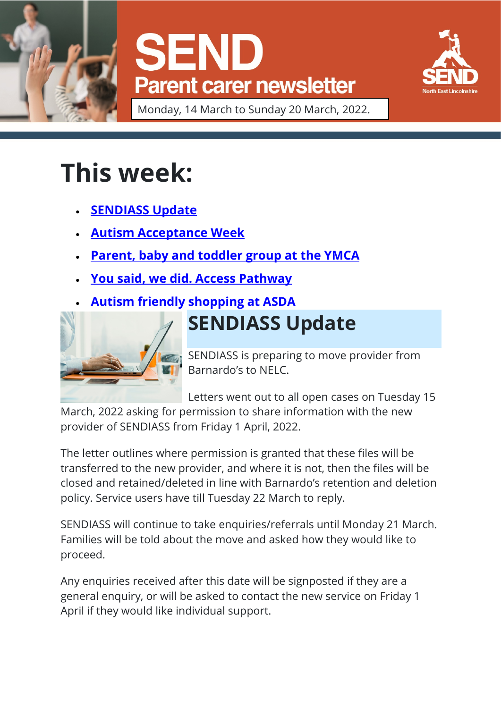





Monday, 14 March to Sunday 20 March, 2022.

# **This week:**

- **[SENDIASS Update](https://sendlocaloffer.nelincs.gov.uk/parent-carer-weekly-update-monday-14-sunday-20-march/#send-survey)**
- **[Autism Acceptance Week](https://sendlocaloffer.nelincs.gov.uk/parent-carer-weekly-update-monday-14-sunday-20-march/#training-for-young-people-on-abusive-relationships)**
- **[Parent, baby and toddler group at the YMCA](https://sendlocaloffer.nelincs.gov.uk/parent-carer-weekly-update-monday-14-sunday-20-march/#training-for-young-people-on-abusive-relationships)**
- **[You said, we did. Access Pathway](https://sendlocaloffer.nelincs.gov.uk/parent-carer-weekly-update-monday-14-sunday-20-march/#training-for-young-people-on-abusive-relationships)**
- **[Autism friendly shopping at ASDA](https://sendlocaloffer.nelincs.gov.uk/parent-carer-weekly-update-monday-14-sunday-20-march/#training-for-young-people-on-abusive-relationships)**



## **SENDIASS Update**

SENDIASS is preparing to move provider from Barnardo's to NELC.

Letters went out to all open cases on Tuesday 15

March, 2022 asking for permission to share information with the new provider of SENDIASS from Friday 1 April, 2022.

The letter outlines where permission is granted that these files will be transferred to the new provider, and where it is not, then the files will be closed and retained/deleted in line with Barnardo's retention and deletion policy. Service users have till Tuesday 22 March to reply.

SENDIASS will continue to take enquiries/referrals until Monday 21 March. Families will be told about the move and asked how they would like to proceed.

Any enquiries received after this date will be signposted if they are a general enquiry, or will be asked to contact the new service on Friday 1 April if they would like individual support.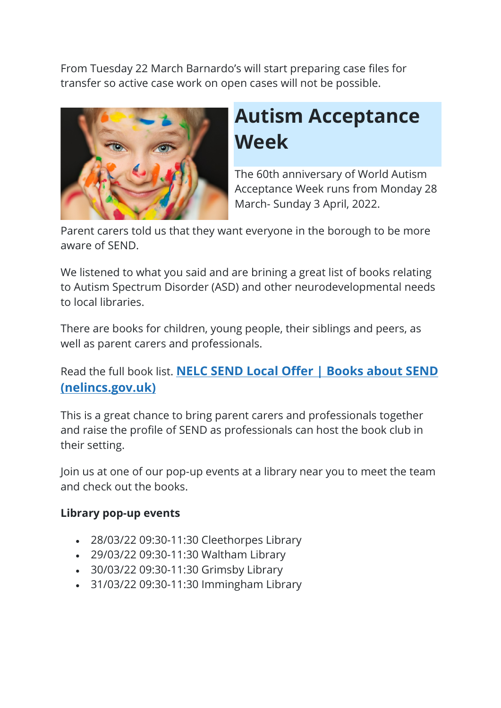From Tuesday 22 March Barnardo's will start preparing case files for transfer so active case work on open cases will not be possible.



### **Autism Acceptance Week**

The 60th anniversary of World Autism Acceptance Week runs from Monday 28 March- Sunday 3 April, 2022.

Parent carers told us that they want everyone in the borough to be more aware of SEND.

We listened to what you said and are brining a great list of books relating to Autism Spectrum Disorder (ASD) and other neurodevelopmental needs to local libraries.

There are books for children, young people, their siblings and peers, as well as parent carers and professionals.

### Read the full book list. **[NELC SEND Local Offer | Books about SEND](https://sendlocaloffer.nelincs.gov.uk/books-about-send/)  [\(nelincs.gov.uk\)](https://sendlocaloffer.nelincs.gov.uk/books-about-send/)**

This is a great chance to bring parent carers and professionals together and raise the profile of SEND as professionals can host the book club in their setting.

Join us at one of our pop-up events at a library near you to meet the team and check out the books.

#### **Library pop-up events**

- 28/03/22 09:30-11:30 Cleethorpes Library
- 29/03/22 09:30-11:30 Waltham Library
- 30/03/22 09:30-11:30 Grimsby Library
- 31/03/22 09:30-11:30 Immingham Library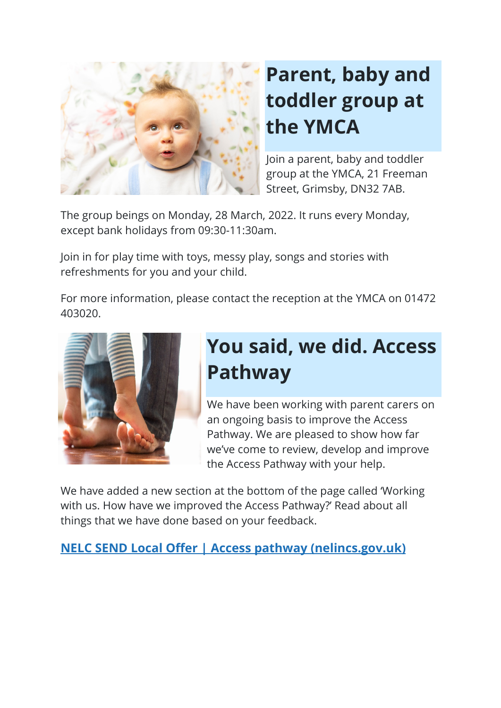

# **Parent, baby and toddler group at the YMCA**

Join a parent, baby and toddler group at the YMCA, 21 Freeman Street, Grimsby, DN32 7AB.

The group beings on Monday, 28 March, 2022. It runs every Monday, except bank holidays from 09:30-11:30am.

Join in for play time with toys, messy play, songs and stories with refreshments for you and your child.

For more information, please contact the reception at the YMCA on 01472 403020.



### **You said, we did. Access Pathway**

We have been working with parent carers on an ongoing basis to improve the Access Pathway. We are pleased to show how far we've come to review, develop and improve the Access Pathway with your help.

We have added a new section at the bottom of the page called 'Working with us. How have we improved the Access Pathway?' Read about all things that we have done based on your feedback.

**[NELC SEND Local Offer | Access](https://sendlocaloffer.nelincs.gov.uk/home/parents-and-carers/access-pathway/) pathway (nelincs.gov.uk)**